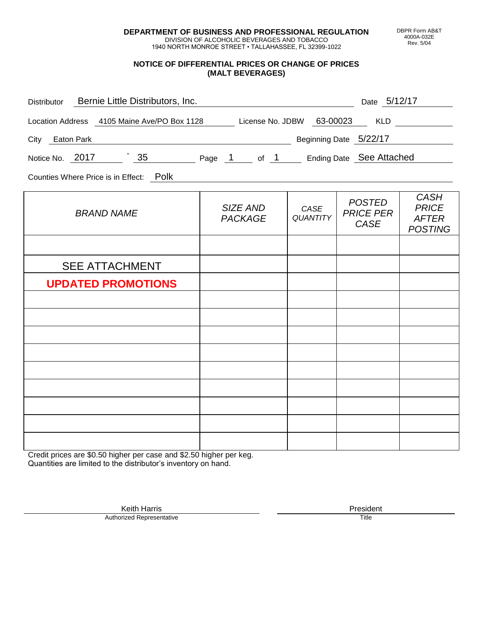**DEPARTMENT OF BUSINESS AND PROFESSIONAL REGULATION**

1940 NORTH MONROE STREET • TALLAHASSEE, FL 32399-1022

#### **NOTICE OF DIFFERENTIAL PRICES OR CHANGE OF PRICES (MALT BEVERAGES)**

| Distributor Bernie Little Distributors, Inc.                              | <u> 1980 - Johann Barbara, martin amerikan personal (</u> |                         | Date 5/12/17                                     |                                                               |
|---------------------------------------------------------------------------|-----------------------------------------------------------|-------------------------|--------------------------------------------------|---------------------------------------------------------------|
| Location Address 4105 Maine Ave/PO Box 1128 License No. JDBW 63-00023 KLD |                                                           |                         |                                                  |                                                               |
| City Eaton Park                                                           | Beginning Date 5/22/17                                    |                         |                                                  |                                                               |
| Notice No. 2017 35 Page 1 of 1 Ending Date See Attached                   |                                                           |                         |                                                  |                                                               |
| Counties Where Price is in Effect: Polk                                   |                                                           |                         |                                                  |                                                               |
| <b>BRAND NAME</b>                                                         | SIZE AND<br><b>PACKAGE</b>                                | CASE<br><b>QUANTITY</b> | <b>POSTED</b><br><b>PRICE PER</b><br><b>CASE</b> | <b>CASH</b><br><b>PRICE</b><br><b>AFTER</b><br><b>POSTING</b> |
|                                                                           |                                                           |                         |                                                  |                                                               |
| <b>SEE ATTACHMENT</b>                                                     |                                                           |                         |                                                  |                                                               |
| <b>UPDATED PROMOTIONS</b>                                                 |                                                           |                         |                                                  |                                                               |
|                                                                           |                                                           |                         |                                                  |                                                               |
|                                                                           |                                                           |                         |                                                  |                                                               |
|                                                                           |                                                           |                         |                                                  |                                                               |
|                                                                           |                                                           |                         |                                                  |                                                               |
|                                                                           |                                                           |                         |                                                  |                                                               |
|                                                                           |                                                           |                         |                                                  |                                                               |
|                                                                           |                                                           |                         |                                                  |                                                               |
|                                                                           |                                                           |                         |                                                  |                                                               |
|                                                                           |                                                           |                         |                                                  |                                                               |

Credit prices are \$0.50 higher per case and \$2.50 higher per keg. Quantities are limited to the distributor's inventory on hand.

> Keith Harris **President** President **President** President **President** President **President** Authorized Representative

DBPR Form AB&T 4000A-032E Rev. 5/04

DIVISION OF ALCOHOLIC BEVERAGES AND TOBACCO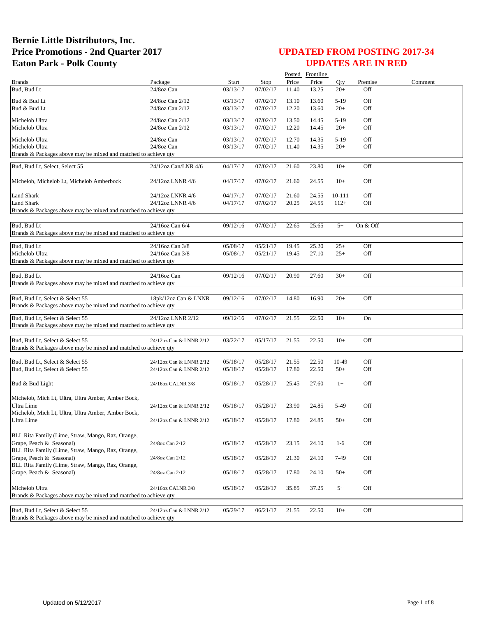|                                                                 |                         |              |             |       | Posted Frontline |        |          |         |
|-----------------------------------------------------------------|-------------------------|--------------|-------------|-------|------------------|--------|----------|---------|
| <b>Brands</b>                                                   | Package                 | <b>Start</b> | <b>Stop</b> | Price | Price            | Qty    | Premise  | Comment |
| Bud, Bud Lt                                                     | 24/8oz Can              | 03/13/17     | 07/02/17    | 11.40 | 13.25            | $20+$  | Off      |         |
| Bud & Bud Lt                                                    | 24/8oz Can 2/12         | 03/13/17     | 07/02/17    | 13.10 | 13.60            | $5-19$ | Off      |         |
| Bud & Bud Lt                                                    | 24/8oz Can 2/12         | 03/13/17     | 07/02/17    | 12.20 | 13.60            | $20+$  | Off      |         |
|                                                                 |                         |              |             |       |                  |        |          |         |
| Michelob Ultra                                                  | 24/8oz Can 2/12         | 03/13/17     | 07/02/17    | 13.50 | 14.45            | $5-19$ | Off      |         |
| Michelob Ultra                                                  | 24/8oz Can 2/12         | 03/13/17     | 07/02/17    | 12.20 | 14.45            | $20+$  | Off      |         |
| Michelob Ultra                                                  | 24/8oz Can              | 03/13/17     | 07/02/17    | 12.70 | 14.35            | $5-19$ | Off      |         |
| Michelob Ultra                                                  | 24/8oz Can              | 03/13/17     | 07/02/17    | 11.40 | 14.35            | $20+$  | Off      |         |
| Brands & Packages above may be mixed and matched to achieve qty |                         |              |             |       |                  |        |          |         |
|                                                                 |                         |              |             |       |                  |        |          |         |
| Bud, Bud Lt, Select, Select 55                                  | 24/12oz Can/LNR 4/6     | 04/17/17     | 07/02/17    | 21.60 | 23.80            | $10+$  | Off      |         |
|                                                                 |                         |              |             |       |                  |        |          |         |
| Michelob, Michelob Lt, Michelob Amberbock                       | 24/12oz LNNR 4/6        | 04/17/17     | 07/02/17    | 21.60 | 24.55            | $10+$  | Off      |         |
|                                                                 |                         |              |             |       |                  |        |          |         |
| Land Shark                                                      | 24/12oz LNNR 4/6        | 04/17/17     | 07/02/17    | 21.60 | 24.55            | 10-111 | Off      |         |
| Land Shark                                                      | 24/12oz LNNR 4/6        | 04/17/17     | 07/02/17    | 20.25 | 24.55            | $112+$ | Off      |         |
| Brands & Packages above may be mixed and matched to achieve qty |                         |              |             |       |                  |        |          |         |
|                                                                 |                         |              |             |       |                  |        |          |         |
| Bud, Bud Lt                                                     | 24/16oz Can 6/4         | 09/12/16     | 07/02/17    | 22.65 | 25.65            | $5+$   | On & Off |         |
| Brands & Packages above may be mixed and matched to achieve qty |                         |              |             |       |                  |        |          |         |
| Bud. Bud Lt                                                     | 24/16oz Can 3/8         | 05/08/17     | 05/21/17    | 19.45 | 25.20            | $25+$  | Off      |         |
| Michelob Ultra                                                  | 24/16oz Can 3/8         | 05/08/17     | 05/21/17    | 19.45 | 27.10            | $25+$  | Off      |         |
| Brands & Packages above may be mixed and matched to achieve qty |                         |              |             |       |                  |        |          |         |
|                                                                 |                         |              |             |       |                  |        |          |         |
| Bud, Bud Lt                                                     | 24/16oz Can             | 09/12/16     | 07/02/17    | 20.90 | 27.60            | $30+$  | Off      |         |
| Brands & Packages above may be mixed and matched to achieve qty |                         |              |             |       |                  |        |          |         |
|                                                                 |                         |              |             |       |                  |        |          |         |
| Bud, Bud Lt, Select & Select 55                                 | 18pk/12oz Can & LNNR    | 09/12/16     | 07/02/17    | 14.80 | 16.90            | $20+$  | Off      |         |
| Brands & Packages above may be mixed and matched to achieve qty |                         |              |             |       |                  |        |          |         |
|                                                                 |                         |              |             |       |                  |        |          |         |
| Bud, Bud Lt, Select & Select 55                                 | 24/12oz LNNR 2/12       | 09/12/16     | 07/02/17    | 21.55 | 22.50            | $10+$  | On       |         |
| Brands & Packages above may be mixed and matched to achieve qty |                         |              |             |       |                  |        |          |         |
|                                                                 |                         |              |             | 21.55 | 22.50            | $10+$  | Off      |         |
| Bud, Bud Lt, Select & Select 55                                 | 24/12oz Can & LNNR 2/12 | 03/22/17     | 05/17/17    |       |                  |        |          |         |
| Brands & Packages above may be mixed and matched to achieve qty |                         |              |             |       |                  |        |          |         |
| Bud, Bud Lt, Select & Select 55                                 | 24/12oz Can & LNNR 2/12 | 05/18/17     | 05/28/17    | 21.55 | 22.50            | 10-49  | Off      |         |
| Bud, Bud Lt, Select & Select 55                                 | 24/12oz Can & LNNR 2/12 | 05/18/17     | 05/28/17    | 17.80 | 22.50            | $50+$  | Off      |         |
|                                                                 |                         |              |             |       |                  |        |          |         |
| Bud & Bud Light                                                 | 24/16oz CALNR 3/8       | 05/18/17     | 05/28/17    | 25.45 | 27.60            | $1+$   | Off      |         |
|                                                                 |                         |              |             |       |                  |        |          |         |
| Michelob, Mich Lt, Ultra, Ultra Amber, Amber Bock,              |                         |              |             |       |                  |        |          |         |
| Ultra Lime                                                      | 24/12oz Can & LNNR 2/12 | 05/18/17     | 05/28/17    | 23.90 | 24.85            | 5-49   | Off      |         |
| Michelob, Mich Lt, Ultra, Ultra Amber, Amber Bock,              |                         |              |             |       |                  |        |          |         |
| Ultra Lime                                                      | 24/12oz Can & LNNR 2/12 | 05/18/17     | 05/28/17    | 17.80 | 24.85            | $50+$  | Off      |         |
|                                                                 |                         |              |             |       |                  |        |          |         |
| BLL Rita Family (Lime, Straw, Mango, Raz, Orange,               |                         |              |             |       |                  |        |          |         |
| Grape, Peach & Seasonal)                                        | 24/8oz Can 2/12         | 05/18/17     | 05/28/17    | 23.15 | 24.10            | $1-6$  | Off      |         |
| BLL Rita Family (Lime, Straw, Mango, Raz, Orange,               |                         |              |             |       |                  |        |          |         |
| Grape, Peach & Seasonal)                                        | 24/8oz Can 2/12         | 05/18/17     | 05/28/17    | 21.30 | 24.10            | 7-49   | Off      |         |
| BLL Rita Family (Lime, Straw, Mango, Raz, Orange,               |                         |              |             |       |                  |        |          |         |
| Grape, Peach & Seasonal)                                        | 24/8oz Can 2/12         | 05/18/17     | 05/28/17    | 17.80 | 24.10            | $50+$  | Off      |         |
|                                                                 |                         |              |             |       |                  |        |          |         |
| Michelob Ultra                                                  | 24/16oz CALNR 3/8       | 05/18/17     | 05/28/17    | 35.85 | 37.25            | $5+$   | Off      |         |
| Brands & Packages above may be mixed and matched to achieve qty |                         |              |             |       |                  |        |          |         |
|                                                                 |                         |              |             |       |                  |        |          |         |
| Bud, Bud Lt, Select & Select 55                                 | 24/12oz Can & LNNR 2/12 | 05/29/17     | 06/21/17    | 21.55 | 22.50            | $10+$  | Off      |         |
| Brands & Packages above may be mixed and matched to achieve qty |                         |              |             |       |                  |        |          |         |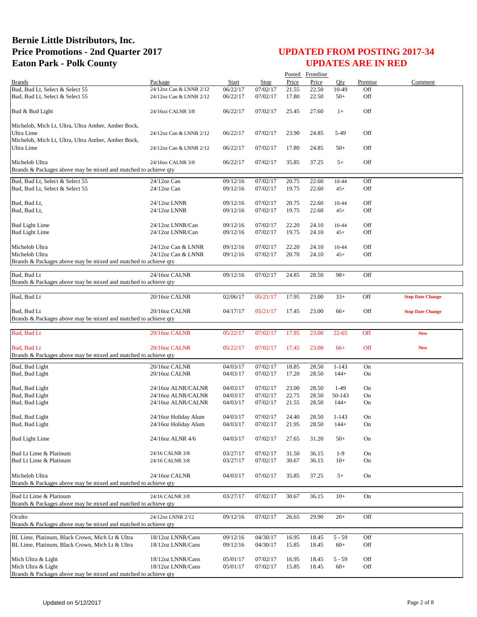|                                                                                   |                                          |                      |                      |       | Posted Frontline |           |         |                         |
|-----------------------------------------------------------------------------------|------------------------------------------|----------------------|----------------------|-------|------------------|-----------|---------|-------------------------|
| <b>Brands</b>                                                                     | Package                                  | <b>Start</b>         | <b>Stop</b>          | Price | Price            | Oty       | Premise | Comment                 |
| Bud, Bud Lt, Select & Select 55                                                   | 24/12oz Can & LNNR 2/12                  | 06/22/17             | 07/02/17             | 21.55 | 22.50            | 10-49     | Off     |                         |
| Bud, Bud Lt, Select & Select 55                                                   | 24/12oz Can & LNNR 2/12                  | 06/22/17             | 07/02/17             | 17.80 | 22.50            | $50+$     | Off     |                         |
| Bud & Bud Light                                                                   | 24/16oz CALNR 3/8                        | 06/22/17             | 07/02/17             | 25.45 | 27.60            | $1+$      | Off     |                         |
| Michelob, Mich Lt, Ultra, Ultra Amber, Amber Bock,                                |                                          |                      |                      |       |                  |           |         |                         |
| Ultra Lime                                                                        | 24/12oz Can & LNNR 2/12                  | 06/22/17             | 07/02/17             | 23.90 | 24.85            | 5-49      | Off     |                         |
| Michelob, Mich Lt, Ultra, Ultra Amber, Amber Bock,                                |                                          |                      |                      |       |                  |           |         |                         |
| <b>Ultra Lime</b>                                                                 | 24/12oz Can & LNNR 2/12                  | 06/22/17             | 07/02/17             | 17.80 | 24.85            | $50+$     | Off     |                         |
| Michelob Ultra<br>Brands & Packages above may be mixed and matched to achieve qty | 24/16oz CALNR 3/8                        | 06/22/17             | 07/02/17             | 35.85 | 37.25            | $5+$      | Off     |                         |
|                                                                                   |                                          |                      |                      |       |                  |           |         |                         |
| Bud, Bud Lt, Select & Select 55                                                   | 24/12oz Can                              | 09/12/16             | 07/02/17             | 20.75 | 22.60            | 10-44     | Off     |                         |
| Bud, Bud Lt, Select & Select 55                                                   | $24/12$ oz Can                           | 09/12/16             | 07/02/17             | 19.75 | 22.60            | $45+$     | Off     |                         |
| Bud, Bud Lt,                                                                      | 24/12oz LNNR                             | 09/12/16             | 07/02/17             | 20.75 | 22.60            | 10-44     | Off     |                         |
| Bud, Bud Lt,                                                                      | 24/12oz LNNR                             | 09/12/16             | 07/02/17             | 19.75 | 22.60            | $45+$     | Off     |                         |
|                                                                                   |                                          |                      |                      |       |                  |           |         |                         |
| <b>Bud Light Lime</b>                                                             | 24/12oz LNNR/Can                         | 09/12/16             | 07/02/17             | 22.20 | 24.10            | 10-44     | Off     |                         |
| <b>Bud Light Lime</b>                                                             | 24/12oz LNNR/Can                         | 09/12/16             | 07/02/17             | 19.75 | 24.10            | $45+$     | Off     |                         |
| Michelob Ultra                                                                    | 24/12oz Can & LNNR                       | 09/12/16             | 07/02/17             | 22.20 | 24.10            | 10-44     | Off     |                         |
| Michelob Ultra                                                                    | 24/12oz Can & LNNR                       | 09/12/16             | 07/02/17             | 20.70 | 24.10            | $45+$     | Off     |                         |
| Brands & Packages above may be mixed and matched to achieve qty                   |                                          |                      |                      |       |                  |           |         |                         |
|                                                                                   |                                          |                      |                      |       |                  |           |         |                         |
| Bud, Bud Lt<br>Brands & Packages above may be mixed and matched to achieve qty    | 24/16oz CALNR                            | 09/12/16             | 07/02/17             | 24.85 | 28.50            | $98+$     | Off     |                         |
|                                                                                   |                                          |                      |                      |       |                  |           |         |                         |
| Bud, Bud Lt                                                                       | 20/16oz CALNR                            | 02/06/17             | 05/21/17             | 17.95 | 23.00            | $33+$     | Off     | <b>Stop Date Change</b> |
|                                                                                   |                                          |                      |                      |       |                  |           |         |                         |
| Bud, Bud Lt<br>Brands & Packages above may be mixed and matched to achieve qty    | 20/16oz CALNR                            | 04/17/17             | 05/21/17             | 17.45 | 23.00            | $66+$     | Off     | <b>Stop Date Change</b> |
|                                                                                   |                                          |                      |                      |       |                  |           |         |                         |
| Bud, Bud Lt                                                                       | 20/16oz CALNR                            | 05/22/17             | 07/02/17             | 17.95 | 23.00            | $22 - 65$ | Off     | <b>New</b>              |
|                                                                                   |                                          |                      |                      |       |                  |           |         |                         |
| Bud, Bud Lt                                                                       | 20/16oz CALNR                            | 05/22/17             | 07/02/17             | 17.45 | 23.00            | $66+$     | Off     | <b>New</b>              |
| Brands & Packages above may be mixed and matched to achieve qty                   |                                          |                      |                      |       |                  |           |         |                         |
| Bud, Bud Light                                                                    | 20/16oz CALNR                            | 04/03/17             | 07/02/17             | 18.85 | 28.50            | $1 - 143$ | On      |                         |
| Bud, Bud Light                                                                    | 20/16oz CALNR                            | 04/03/17             | 07/02/17             | 17.20 | 28.50            | $144+$    | On      |                         |
| Bud, Bud Light                                                                    |                                          |                      |                      | 23.00 | 28.50            | $1-49$    | On      |                         |
| Bud, Bud Light                                                                    | 24/16oz ALNR/CALNR<br>24/16oz ALNR/CALNR | 04/03/17<br>04/03/17 | 07/02/17<br>07/02/17 | 22.75 | 28.50            | 50-143    | On      |                         |
| Bud, Bud Light                                                                    | 24/16oz ALNR/CALNR                       | 04/03/17             | 07/02/17             | 21.55 | 28.50            | $144+$    | On      |                         |
|                                                                                   |                                          |                      |                      |       |                  |           |         |                         |
| Bud, Bud Light                                                                    | 24/16oz Holiday Alum                     | 04/03/17             | 07/02/17             | 24.40 | 28.50            | $1 - 143$ | On      |                         |
| Bud, Bud Light                                                                    | 24/16oz Holiday Alum                     | 04/03/17             | 07/02/17             | 21.95 | 28.50            | $144+$    | On      |                         |
| <b>Bud Light Lime</b>                                                             | 24/16oz ALNR 4/6                         | 04/03/17             | 07/02/17             | 27.65 | 31.20            | $50+$     | On      |                         |
|                                                                                   |                                          |                      |                      |       |                  |           |         |                         |
| Bud Lt Lime & Platinum                                                            | 24/16 CALNR 3/8                          | 03/27/17             | 07/02/17             | 31.50 | 36.15            | $1-9$     | On      |                         |
| Bud Lt Lime & Platinum                                                            | 24/16 CALNR 3/8                          | 03/27/17             | 07/02/17             | 30.67 | 36.15            | $10+$     | On      |                         |
|                                                                                   |                                          |                      |                      |       |                  |           |         |                         |
| Michelob Ultra<br>Brands & Packages above may be mixed and matched to achieve qty | 24/16oz CALNR                            | 04/03/17             | 07/02/17             | 35.85 | 37.25            | $5+$      | On      |                         |
|                                                                                   |                                          |                      |                      |       |                  |           |         |                         |
| Bud Lt Lime & Platinum                                                            | 24/16 CALNR 3/8                          | 03/27/17             | 07/02/17             | 30.67 | 36.15            | $10+$     | On      |                         |
| Brands & Packages above may be mixed and matched to achieve qty                   |                                          |                      |                      |       |                  |           |         |                         |
| Oculto                                                                            | 24/12oz LNNR 2/12                        | 09/12/16             | 07/02/17             | 26.65 | 29.90            | $20+$     | Off     |                         |
| Brands & Packages above may be mixed and matched to achieve qty                   |                                          |                      |                      |       |                  |           |         |                         |
|                                                                                   |                                          |                      |                      |       |                  |           |         |                         |
| BL Lime, Platinum, Black Crown, Mich Lt & Ultra                                   | 18/12oz LNNR/Cans                        | 09/12/16             | 04/30/17             | 16.95 | 18.45            | $5 - 59$  | Off     |                         |
| BL Lime, Platinum, Black Crown, Mich Lt & Ultra                                   | 18/12oz LNNR/Cans                        | 09/12/16             | 04/30/17             | 15.85 | 18.45            | $60+$     | Off     |                         |
| Mich Ultra & Light                                                                | 18/12oz LNNR/Cans                        | 05/01/17             | 07/02/17             | 16.95 | 18.45            | $5 - 59$  | Off     |                         |
| Mich Ultra & Light                                                                | 18/12oz LNNR/Cans                        | 05/01/17             | 07/02/17             | 15.85 | 18.45            | $60+$     | Off     |                         |
| Brands & Packages above may be mixed and matched to achieve qty                   |                                          |                      |                      |       |                  |           |         |                         |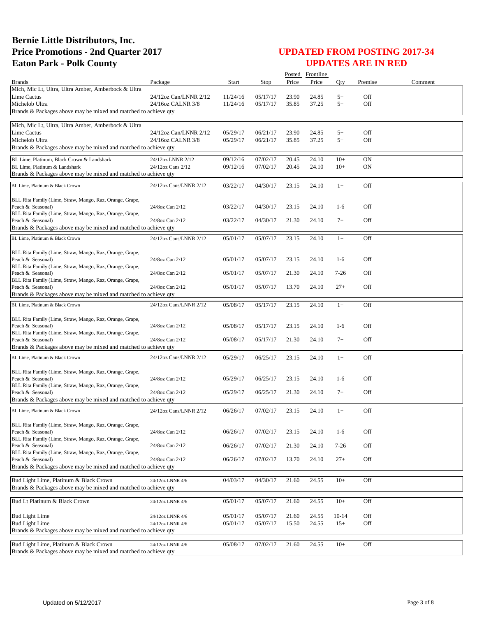|                                                                                      |                        |          |          |       | Posted Frontline |         |           |         |
|--------------------------------------------------------------------------------------|------------------------|----------|----------|-------|------------------|---------|-----------|---------|
| <b>Brands</b>                                                                        | Package                | Start    | Stop     | Price | Price            | Otv     | Premise   | Comment |
| Mich, Mic Lt, Ultra, Ultra Amber, Amberbock & Ultra                                  |                        |          |          |       |                  |         |           |         |
| <b>Lime Cactus</b>                                                                   | 24/12oz Can/LNNR 2/12  | 11/24/16 | 05/17/17 | 23.90 | 24.85            | $5+$    | Off       |         |
| Michelob Ultra                                                                       | 24/16oz CALNR 3/8      | 11/24/16 | 05/17/17 | 35.85 | 37.25            | $5+$    | Off       |         |
| Brands & Packages above may be mixed and matched to achieve gty                      |                        |          |          |       |                  |         |           |         |
| Mich, Mic Lt, Ultra, Ultra Amber, Amberbock & Ultra                                  |                        |          |          |       |                  |         |           |         |
| Lime Cactus                                                                          | 24/12oz Can/LNNR 2/12  | 05/29/17 | 06/21/17 | 23.90 | 24.85            | $5+$    | Off       |         |
| Michelob Ultra                                                                       | 24/16oz CALNR 3/8      | 05/29/17 | 06/21/17 | 35.85 | 37.25            | $5+$    | Off       |         |
| Brands & Packages above may be mixed and matched to achieve qty                      |                        |          |          |       |                  |         |           |         |
| BL Lime, Platinum, Black Crown & Landshark                                           | 24/12oz LNNR 2/12      | 09/12/16 | 07/02/17 | 20.45 | 24.10            | $10+$   | <b>ON</b> |         |
| BL Lime, Platinum & Landshark                                                        | 24/12oz Cans 2/12      | 09/12/16 | 07/02/17 | 20.45 | 24.10            | $10+$   | ON        |         |
| Brands & Packages above may be mixed and matched to achieve qty                      |                        |          |          |       |                  |         |           |         |
|                                                                                      |                        |          |          |       |                  |         |           |         |
| BL Lime, Platinum & Black Crown                                                      | 24/12oz Cans/LNNR 2/12 | 03/22/17 | 04/30/17 | 23.15 | 24.10            | $1+$    | Off       |         |
|                                                                                      |                        |          |          |       |                  |         |           |         |
| BLL Rita Family (Lime, Straw, Mango, Raz, Orange, Grape,<br>Peach & Seasonal)        | 24/8oz Can 2/12        | 03/22/17 | 04/30/17 | 23.15 | 24.10            | $1-6$   | Off       |         |
| BLL Rita Family (Lime, Straw, Mango, Raz, Orange, Grape,                             |                        |          |          |       |                  |         |           |         |
| Peach & Seasonal)                                                                    | 24/8oz Can 2/12        | 03/22/17 | 04/30/17 | 21.30 | 24.10            | $7+$    | Off       |         |
| Brands & Packages above may be mixed and matched to achieve qty                      |                        |          |          |       |                  |         |           |         |
| BL Lime, Platinum & Black Crown                                                      | 24/12oz Cans/LNNR 2/12 | 05/01/17 | 05/07/17 | 23.15 | 24.10            | $1+$    | Off       |         |
|                                                                                      |                        |          |          |       |                  |         |           |         |
| BLL Rita Family (Lime, Straw, Mango, Raz, Orange, Grape,                             |                        |          |          |       |                  |         |           |         |
| Peach & Seasonal)                                                                    | 24/8oz Can 2/12        | 05/01/17 | 05/07/17 | 23.15 | 24.10            | $1-6$   | Off       |         |
| BLL Rita Family (Lime, Straw, Mango, Raz, Orange, Grape,                             |                        |          |          |       |                  |         |           |         |
| Peach & Seasonal)                                                                    | 24/8oz Can 2/12        | 05/01/17 | 05/07/17 | 21.30 | 24.10            | $7-26$  | Off       |         |
| BLL Rita Family (Lime, Straw, Mango, Raz, Orange, Grape,<br>Peach & Seasonal)        | 24/8oz Can 2/12        | 05/01/17 | 05/07/17 | 13.70 | 24.10            | $27+$   | Off       |         |
| Brands & Packages above may be mixed and matched to achieve qty                      |                        |          |          |       |                  |         |           |         |
|                                                                                      |                        |          |          |       |                  |         |           |         |
| BL Lime, Platinum & Black Crown                                                      | 24/12oz Cans/LNNR 2/12 | 05/08/17 | 05/17/17 | 23.15 | 24.10            | $1+$    | Off       |         |
| BLL Rita Family (Lime, Straw, Mango, Raz, Orange, Grape,                             |                        |          |          |       |                  |         |           |         |
| Peach & Seasonal)                                                                    | 24/8oz Can 2/12        | 05/08/17 | 05/17/17 | 23.15 | 24.10            | $1-6$   | Off       |         |
| BLL Rita Family (Lime, Straw, Mango, Raz, Orange, Grape,                             |                        |          |          |       |                  |         |           |         |
| Peach & Seasonal)                                                                    | 24/8oz Can 2/12        | 05/08/17 | 05/17/17 | 21.30 | 24.10            | $7+$    | Off       |         |
| Brands & Packages above may be mixed and matched to achieve qty                      |                        |          |          |       |                  |         |           |         |
| BL Lime, Platinum & Black Crown                                                      | 24/12oz Cans/LNNR 2/12 | 05/29/17 | 06/25/17 | 23.15 | 24.10            | $1+$    | Off       |         |
|                                                                                      |                        |          |          |       |                  |         |           |         |
| BLL Rita Family (Lime, Straw, Mango, Raz, Orange, Grape,                             |                        |          |          |       |                  |         |           |         |
| Peach & Seasonal)                                                                    | 24/8oz Can 2/12        | 05/29/17 | 06/25/17 | 23.15 | 24.10            | $1-6$   | Off       |         |
| BLL Rita Family (Lime, Straw, Mango, Raz, Orange, Grape,                             |                        |          |          |       |                  |         |           |         |
| Peach & Seasonal)<br>Brands & Packages above may be mixed and matched to achieve qty | 24/8oz Can 2/12        | 05/29/17 | 06/25/17 | 21.30 | 24.10            | $7+$    | Off       |         |
|                                                                                      |                        |          |          |       |                  |         |           |         |
| BL Lime, Platinum & Black Crown                                                      | 24/12oz Cans/LNNR 2/12 | 06/26/17 | 07/02/17 | 23.15 | 24.10            | $1+$    | Off       |         |
| BLL Rita Family (Lime, Straw, Mango, Raz, Orange, Grape,                             |                        |          |          |       |                  |         |           |         |
| Peach & Seasonal)                                                                    | 24/8oz Can 2/12        | 06/26/17 | 07/02/17 | 23.15 | 24.10            | $1-6$   | Off       |         |
| BLL Rita Family (Lime, Straw, Mango, Raz, Orange, Grape,                             |                        |          |          |       |                  |         |           |         |
| Peach & Seasonal)                                                                    | 24/8oz Can 2/12        | 06/26/17 | 07/02/17 | 21.30 | 24.10            | $7-26$  | Off       |         |
| BLL Rita Family (Lime, Straw, Mango, Raz, Orange, Grape,                             |                        |          |          |       |                  |         |           |         |
| Peach & Seasonal)                                                                    | 24/8oz Can 2/12        | 06/26/17 | 07/02/17 | 13.70 | 24.10            | $27+$   | Off       |         |
| Brands & Packages above may be mixed and matched to achieve qty                      |                        |          |          |       |                  |         |           |         |
| Bud Light Lime, Platinum & Black Crown                                               | 24/12oz LNNR 4/6       | 04/03/17 | 04/30/17 | 21.60 | 24.55            | $10+$   | Off       |         |
| Brands & Packages above may be mixed and matched to achieve qty                      |                        |          |          |       |                  |         |           |         |
|                                                                                      |                        |          |          |       |                  |         |           |         |
| Bud Lt Platinum & Black Crown                                                        | 24/12oz LNNR 4/6       | 05/01/17 | 05/07/17 | 21.60 | 24.55            | $10+$   | Off       |         |
|                                                                                      |                        |          |          |       |                  |         |           |         |
| <b>Bud Light Lime</b>                                                                | 24/12oz LNNR 4/6       | 05/01/17 | 05/07/17 | 21.60 | 24.55            | $10-14$ | Off       |         |
| <b>Bud Light Lime</b>                                                                | 24/12oz LNNR 4/6       | 05/01/17 | 05/07/17 | 15.50 | 24.55            | $15+$   | Off       |         |
| Brands & Packages above may be mixed and matched to achieve qty                      |                        |          |          |       |                  |         |           |         |
| Bud Light Lime, Platinum & Black Crown                                               | 24/12oz LNNR 4/6       | 05/08/17 | 07/02/17 | 21.60 | 24.55            | $10+$   | Off       |         |
| Brands & Packages above may be mixed and matched to achieve qty                      |                        |          |          |       |                  |         |           |         |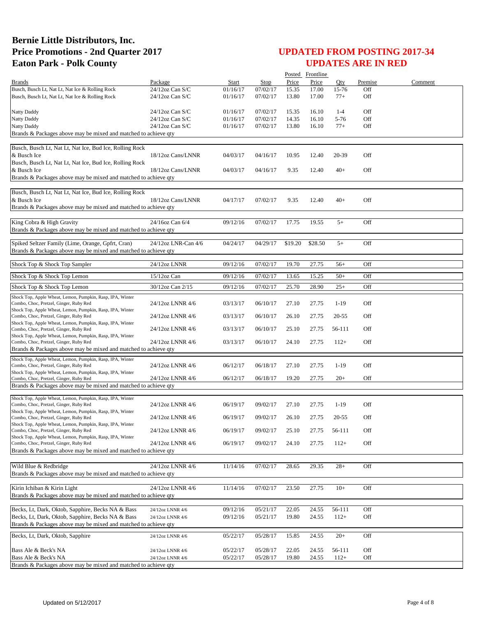|                                                                                                                      |                     |          |             |         | Posted Frontline |         |         |         |
|----------------------------------------------------------------------------------------------------------------------|---------------------|----------|-------------|---------|------------------|---------|---------|---------|
| <b>Brands</b>                                                                                                        | Package             | Start    | <b>Stop</b> | Price   | Price            | Oty     | Premise | Comment |
| Busch, Busch Lt, Nat Lt, Nat Ice & Rolling Rock                                                                      | 24/12oz Can S/C     | 01/16/17 | 07/02/17    | 15.35   | 17.00            | 15-76   | Off     |         |
| Busch, Busch Lt, Nat Lt, Nat Ice & Rolling Rock                                                                      | $24/12$ oz Can S/C  | 01/16/17 | 07/02/17    | 13.80   | 17.00            | $77+$   | Off     |         |
| Natty Daddy                                                                                                          | $24/12$ oz Can S/C  | 01/16/17 | 07/02/17    | 15.35   | 16.10            | $1 - 4$ | Off     |         |
| Natty Daddy                                                                                                          | 24/12oz Can S/C     | 01/16/17 | 07/02/17    | 14.35   | 16.10            | 5-76    | Off     |         |
| Natty Daddy                                                                                                          | 24/12oz Can S/C     | 01/16/17 | 07/02/17    | 13.80   | 16.10            | $77+$   | Off     |         |
| Brands & Packages above may be mixed and matched to achieve qty                                                      |                     |          |             |         |                  |         |         |         |
|                                                                                                                      |                     |          |             |         |                  |         |         |         |
| Busch, Busch Lt, Nat Lt, Nat Ice, Bud Ice, Rolling Rock                                                              |                     |          |             |         |                  |         |         |         |
| & Busch Ice                                                                                                          | 18/12oz Cans/LNNR   | 04/03/17 | 04/16/17    | 10.95   | 12.40            | 20-39   | Off     |         |
| Busch, Busch Lt, Nat Lt, Nat Ice, Bud Ice, Rolling Rock                                                              |                     |          |             |         |                  |         |         |         |
| & Busch Ice                                                                                                          | 18/12oz Cans/LNNR   | 04/03/17 | 04/16/17    | 9.35    | 12.40            | $40+$   | Off     |         |
| Brands & Packages above may be mixed and matched to achieve qty                                                      |                     |          |             |         |                  |         |         |         |
| Busch, Busch Lt, Nat Lt, Nat Ice, Bud Ice, Rolling Rock                                                              |                     |          |             |         |                  |         |         |         |
| & Busch Ice                                                                                                          | 18/12oz Cans/LNNR   | 04/17/17 | 07/02/17    | 9.35    | 12.40            | $40+$   | Off     |         |
| Brands & Packages above may be mixed and matched to achieve qty                                                      |                     |          |             |         |                  |         |         |         |
|                                                                                                                      |                     |          |             |         |                  |         |         |         |
| King Cobra & High Gravity                                                                                            | 24/16oz Can 6/4     | 09/12/16 | 07/02/17    | 17.75   | 19.55            | $5+$    | Off     |         |
| Brands & Packages above may be mixed and matched to achieve qty                                                      |                     |          |             |         |                  |         |         |         |
|                                                                                                                      |                     |          |             |         |                  |         |         |         |
| Spiked Seltzer Family (Lime, Orange, Gpfrt, Cran)<br>Brands & Packages above may be mixed and matched to achieve qty | 24/12oz LNR-Can 4/6 | 04/24/17 | 04/29/17    | \$19.20 | \$28.50          | $5+$    | Off     |         |
|                                                                                                                      |                     |          |             |         |                  |         |         |         |
| Shock Top & Shock Top Sampler                                                                                        | 24/12oz LNNR        | 09/12/16 | 07/02/17    | 19.70   | 27.75            | $56+$   | Off     |         |
| Shock Top & Shock Top Lemon                                                                                          |                     |          |             |         |                  | $50+$   | Off     |         |
|                                                                                                                      | $15/12$ oz Can      | 09/12/16 | 07/02/17    | 13.65   | 15.25            |         |         |         |
| Shock Top & Shock Top Lemon                                                                                          | 30/12oz Can 2/15    | 09/12/16 | 07/02/17    | 25.70   | 28.90            | $25+$   | Off     |         |
| Shock Top, Apple Wheat, Lemon, Pumpkin, Rasp, IPA, Winter                                                            |                     |          |             |         |                  |         |         |         |
| Combo, Choc, Pretzel, Ginger, Ruby Red                                                                               | 24/12oz LNNR 4/6    | 03/13/17 | 06/10/17    | 27.10   | 27.75            | $1-19$  | Off     |         |
| Shock Top, Apple Wheat, Lemon, Pumpkin, Rasp, IPA, Winter<br>Combo, Choc, Pretzel, Ginger, Ruby Red                  | 24/12oz LNNR 4/6    | 03/13/17 | 06/10/17    | 26.10   | 27.75            | 20-55   | Off     |         |
| Shock Top, Apple Wheat, Lemon, Pumpkin, Rasp, IPA, Winter                                                            |                     |          |             |         |                  |         |         |         |
| Combo, Choc, Pretzel, Ginger, Ruby Red                                                                               | 24/12oz LNNR 4/6    | 03/13/17 | 06/10/17    | 25.10   | 27.75            | 56-111  | Off     |         |
| Shock Top, Apple Wheat, Lemon, Pumpkin, Rasp, IPA, Winter<br>Combo, Choc, Pretzel, Ginger, Ruby Red                  | 24/12oz LNNR 4/6    | 03/13/17 | 06/10/17    | 24.10   | 27.75            | $112+$  | Off     |         |
| Brands & Packages above may be mixed and matched to achieve qty                                                      |                     |          |             |         |                  |         |         |         |
|                                                                                                                      |                     |          |             |         |                  |         |         |         |
| Shock Top, Apple Wheat, Lemon, Pumpkin, Rasp, IPA, Winter<br>Combo, Choc, Pretzel, Ginger, Ruby Red                  | 24/12oz LNNR 4/6    | 06/12/17 | 06/18/17    | 27.10   | 27.75            | $1-19$  | Off     |         |
| Shock Top, Apple Wheat, Lemon, Pumpkin, Rasp, IPA, Winter                                                            |                     |          |             |         |                  |         |         |         |
| Combo, Choc, Pretzel, Ginger, Ruby Red                                                                               | 24/12oz LNNR 4/6    | 06/12/17 | 06/18/17    | 19.20   | 27.75            | $20+$   | Off     |         |
| Brands & Packages above may be mixed and matched to achieve qty                                                      |                     |          |             |         |                  |         |         |         |
| Shock Top, Apple Wheat, Lemon, Pumpkin, Rasp, IPA, Winter                                                            |                     |          |             |         |                  |         |         |         |
| Combo, Choc, Pretzel, Ginger, Ruby Red                                                                               | 24/12oz LNNR 4/6    | 06/19/17 | 09/02/17    | 27.10   | 27.75            | $1-19$  | Off     |         |
| Shock Top, Apple Wheat, Lemon, Pumpkin, Rasp, IPA, Winter                                                            |                     |          |             |         |                  |         |         |         |
| Combo, Choc, Pretzel, Ginger, Ruby Red<br>Shock Top, Apple Wheat, Lemon, Pumpkin, Rasp, IPA, Winter                  | 24/12oz LNNR 4/6    | 06/19/17 | 09/02/17    | 26.10   | 27.75            | 20-55   | Off     |         |
| Combo, Choc, Pretzel, Ginger, Ruby Red                                                                               | 24/12oz LNNR 4/6    | 06/19/17 | 09/02/17    | 25.10   | 27.75            | 56-111  | Off     |         |
| Shock Top, Apple Wheat, Lemon, Pumpkin, Rasp, IPA, Winter                                                            |                     |          |             |         |                  |         |         |         |
| Combo, Choc, Pretzel, Ginger, Ruby Red                                                                               | 24/12oz LNNR 4/6    | 06/19/17 | 09/02/17    | 24.10   | 27.75            | $112+$  | Off     |         |
| Brands & Packages above may be mixed and matched to achieve qty                                                      |                     |          |             |         |                  |         |         |         |
| Wild Blue & Redbridge                                                                                                | 24/12oz LNNR 4/6    | 11/14/16 | 07/02/17    | 28.65   | 29.35            | $28+$   | Off     |         |
| Brands & Packages above may be mixed and matched to achieve qty                                                      |                     |          |             |         |                  |         |         |         |
|                                                                                                                      |                     |          |             |         |                  |         |         |         |
| Kirin Ichiban & Kirin Light                                                                                          | 24/12oz LNNR 4/6    | 11/14/16 | 07/02/17    | 23.50   | 27.75            | $10+$   | Off     |         |
| Brands & Packages above may be mixed and matched to achieve qty                                                      |                     |          |             |         |                  |         |         |         |
|                                                                                                                      |                     |          |             |         |                  |         |         |         |
| Becks, Lt, Dark, Oktob, Sapphire, Becks NA & Bass                                                                    | 24/12oz LNNR 4/6    | 09/12/16 | 05/21/17    | 22.05   | 24.55            | 56-111  | Off     |         |
| Becks, Lt, Dark, Oktob, Sapphire, Becks NA & Bass<br>Brands & Packages above may be mixed and matched to achieve qty | 24/12oz LNNR 4/6    | 09/12/16 | 05/21/17    | 19.80   | 24.55            | $112+$  | Off     |         |
|                                                                                                                      |                     |          |             |         |                  |         |         |         |
| Becks, Lt, Dark, Oktob, Sapphire                                                                                     | 24/12oz LNNR 4/6    | 05/22/17 | 05/28/17    | 15.85   | 24.55            | $20+$   | Off     |         |
|                                                                                                                      |                     |          |             |         |                  |         |         |         |
| Bass Ale & Beck's NA                                                                                                 | 24/12oz LNNR 4/6    | 05/22/17 | 05/28/17    | 22.05   | 24.55            | 56-111  | Off     |         |
| Bass Ale & Beck's NA<br>Brands & Packages above may be mixed and matched to achieve qty                              | 24/12oz LNNR 4/6    | 05/22/17 | 05/28/17    | 19.80   | 24.55            | $112+$  | Off     |         |
|                                                                                                                      |                     |          |             |         |                  |         |         |         |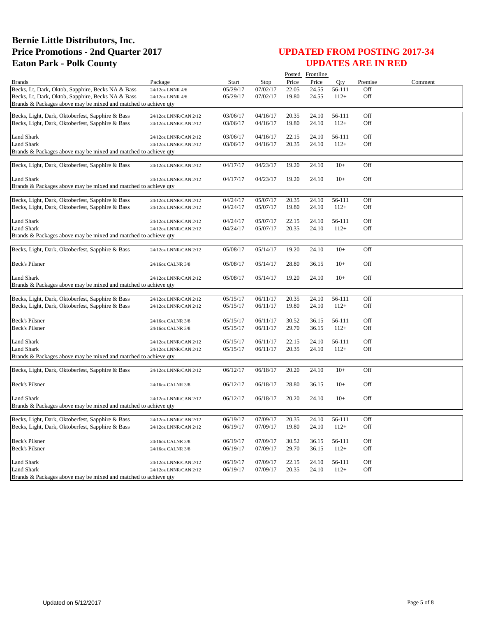|                                                                 |                            |          |             |       | Posted Frontline |        |         |         |
|-----------------------------------------------------------------|----------------------------|----------|-------------|-------|------------------|--------|---------|---------|
| <b>Brands</b>                                                   | Package                    | Start    | <b>Stop</b> | Price | Price            | Oty    | Premise | Comment |
| Becks, Lt, Dark, Oktob, Sapphire, Becks NA & Bass               | 24/12oz LNNR 4/6           | 05/29/17 | 07/02/17    | 22.05 | 24.55            | 56-111 | Off     |         |
| Becks, Lt, Dark, Oktob, Sapphire, Becks NA & Bass               | 24/12oz LNNR 4/6           | 05/29/17 | 07/02/17    | 19.80 | 24.55            | $112+$ | Off     |         |
| Brands & Packages above may be mixed and matched to achieve qty |                            |          |             |       |                  |        |         |         |
| Becks, Light, Dark, Oktoberfest, Sapphire & Bass                | 24/12oz LNNR/CAN 2/12      | 03/06/17 | 04/16/17    | 20.35 | 24.10            | 56-111 | Off     |         |
| Becks, Light, Dark, Oktoberfest, Sapphire & Bass                | 24/12oz LNNR/CAN 2/12      | 03/06/17 | 04/16/17    | 19.80 | 24.10            | $112+$ | Off     |         |
|                                                                 |                            |          |             |       |                  |        |         |         |
| Land Shark                                                      | 24/12oz LNNR/CAN 2/12      | 03/06/17 | 04/16/17    | 22.15 | 24.10            | 56-111 | Off     |         |
| Land Shark                                                      | 24/12oz LNNR/CAN 2/12      | 03/06/17 | 04/16/17    | 20.35 | 24.10            | $112+$ | Off     |         |
| Brands & Packages above may be mixed and matched to achieve qty |                            |          |             |       |                  |        |         |         |
| Becks, Light, Dark, Oktoberfest, Sapphire & Bass                | 24/12oz LNNR/CAN 2/12      | 04/17/17 | 04/23/17    | 19.20 | 24.10            | $10+$  | Off     |         |
|                                                                 |                            |          |             |       |                  |        |         |         |
| <b>Land Shark</b>                                               | 24/12oz LNNR/CAN 2/12      | 04/17/17 | 04/23/17    | 19.20 | 24.10            | $10+$  | Off     |         |
| Brands & Packages above may be mixed and matched to achieve qty |                            |          |             |       |                  |        |         |         |
|                                                                 |                            |          |             |       |                  |        |         |         |
| Becks, Light, Dark, Oktoberfest, Sapphire & Bass                | 24/12oz LNNR/CAN 2/12      | 04/24/17 | 05/07/17    | 20.35 | 24.10            | 56-111 | Off     |         |
| Becks, Light, Dark, Oktoberfest, Sapphire & Bass                | 24/12oz LNNR/CAN 2/12      | 04/24/17 | 05/07/17    | 19.80 | 24.10            | $112+$ | Off     |         |
| Land Shark                                                      | 24/12oz LNNR/CAN 2/12      | 04/24/17 | 05/07/17    | 22.15 | 24.10            | 56-111 | Off     |         |
| <b>Land Shark</b>                                               | 24/12oz LNNR/CAN 2/12      | 04/24/17 | 05/07/17    | 20.35 | 24.10            | $112+$ | Off     |         |
| Brands & Packages above may be mixed and matched to achieve qty |                            |          |             |       |                  |        |         |         |
|                                                                 |                            |          |             |       |                  |        |         |         |
| Becks, Light, Dark, Oktoberfest, Sapphire & Bass                | 24/12oz LNNR/CAN 2/12      | 05/08/17 | 05/14/17    | 19.20 | 24.10            | $10+$  | Off     |         |
| <b>Beck's Pilsner</b>                                           | 24/16oz CALNR 3/8          | 05/08/17 | 05/14/17    | 28.80 | 36.15            | $10+$  | Off     |         |
|                                                                 |                            |          |             |       |                  |        |         |         |
| <b>Land Shark</b>                                               | 24/12oz LNNR/CAN 2/12      | 05/08/17 | 05/14/17    | 19.20 | 24.10            | $10+$  | Off     |         |
| Brands & Packages above may be mixed and matched to achieve qty |                            |          |             |       |                  |        |         |         |
|                                                                 |                            |          |             |       |                  |        |         |         |
| Becks, Light, Dark, Oktoberfest, Sapphire & Bass                | 24/12oz LNNR/CAN 2/12      | 05/15/17 | 06/11/17    | 20.35 | 24.10            | 56-111 | Off     |         |
| Becks, Light, Dark, Oktoberfest, Sapphire & Bass                | 24/12oz LNNR/CAN 2/12      | 05/15/17 | 06/11/17    | 19.80 | 24.10            | $112+$ | Off     |         |
| Beck's Pilsner                                                  | 24/16oz CALNR 3/8          | 05/15/17 | 06/11/17    | 30.52 | 36.15            | 56-111 | Off     |         |
| Beck's Pilsner                                                  | 24/16oz CALNR 3/8          | 05/15/17 | 06/11/17    | 29.70 | 36.15            | $112+$ | Off     |         |
|                                                                 |                            |          |             |       |                  |        |         |         |
| <b>Land Shark</b>                                               | 24/12oz LNNR/CAN 2/12      | 05/15/17 | 06/11/17    | 22.15 | 24.10            | 56-111 | Off     |         |
| Land Shark                                                      | 24/12oz LNNR/CAN 2/12      | 05/15/17 | 06/11/17    | 20.35 | 24.10            | $112+$ | Off     |         |
| Brands & Packages above may be mixed and matched to achieve qty |                            |          |             |       |                  |        |         |         |
| Becks, Light, Dark, Oktoberfest, Sapphire & Bass                | 24/12oz LNNR/CAN 2/12      | 06/12/17 | 06/18/17    | 20.20 | 24.10            | $10+$  | Off     |         |
|                                                                 |                            |          |             |       |                  |        |         |         |
| Beck's Pilsner                                                  | 24/16oz CALNR 3/8          | 06/12/17 | 06/18/17    | 28.80 | 36.15            | $10+$  | Off     |         |
|                                                                 |                            |          |             |       |                  |        |         |         |
| Land Shark                                                      | 24/12oz LNNR/CAN 2/12      | 06/12/17 | 06/18/17    | 20.20 | 24.10            | $10+$  | Off     |         |
| Brands & Packages above may be mixed and matched to achieve qty |                            |          |             |       |                  |        |         |         |
| Becks, Light, Dark, Oktoberfest, Sapphire & Bass                | 24/12oz LNNR/CAN 2/12      | 06/19/17 | 07/09/17    | 20.35 | 24.10            | 56-111 | Off     |         |
| Becks, Light, Dark, Oktoberfest, Sapphire & Bass                | 24/12oz LNNR/CAN 2/12      | 06/19/17 | 07/09/17    | 19.80 | 24.10            | $112+$ | Off     |         |
|                                                                 |                            |          |             |       |                  |        |         |         |
| Beck's Pilsner                                                  | 24/16oz CALNR 3/8          | 06/19/17 | 07/09/17    | 30.52 | 36.15            | 56-111 | Off     |         |
| Beck's Pilsner                                                  | 24/16oz CALNR 3/8          | 06/19/17 | 07/09/17    | 29.70 | 36.15            | $112+$ | Off     |         |
|                                                                 |                            |          |             |       |                  |        |         |         |
| <b>Land Shark</b>                                               | 24/12oz LNNR/CAN 2/12      | 06/19/17 | 07/09/17    | 22.15 | 24.10            | 56-111 | Off     |         |
| <b>Land Shark</b>                                               | $24/12$ oz LNNR/CAN $2/12$ | 06/19/17 | 07/09/17    | 20.35 | 24.10            | $112+$ | Off     |         |
| Brands & Packages above may be mixed and matched to achieve qty |                            |          |             |       |                  |        |         |         |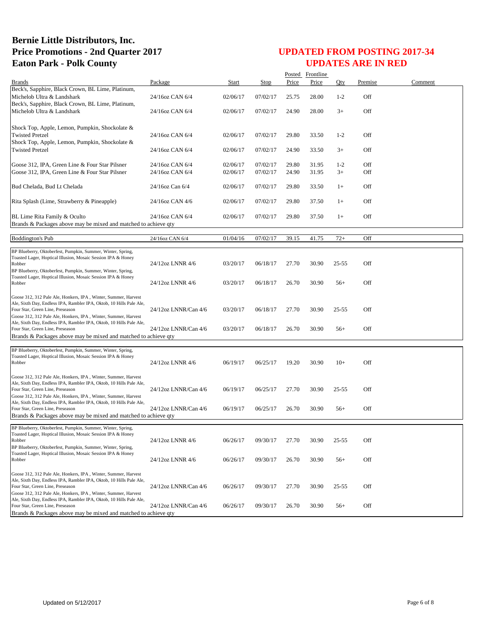|                                                                                                                                       |                      |              |             |       | Posted Frontline |           |         |         |
|---------------------------------------------------------------------------------------------------------------------------------------|----------------------|--------------|-------------|-------|------------------|-----------|---------|---------|
| <b>Brands</b>                                                                                                                         | Package              | <b>Start</b> | <b>Stop</b> | Price | Price            | Qty       | Premise | Comment |
| Beck's, Sapphire, Black Crown, BL Lime, Platinum,                                                                                     |                      |              |             |       |                  |           |         |         |
| Michelob Ultra & Landshark                                                                                                            | 24/16oz CAN 6/4      | 02/06/17     | 07/02/17    | 25.75 | 28.00            | $1-2$     | Off     |         |
| Beck's, Sapphire, Black Crown, BL Lime, Platinum,                                                                                     |                      |              |             |       |                  |           |         |         |
| Michelob Ultra & Landshark                                                                                                            | 24/16oz CAN 6/4      | 02/06/17     | 07/02/17    | 24.90 | 28.00            | $3+$      | Off     |         |
|                                                                                                                                       |                      |              |             |       |                  |           |         |         |
| Shock Top, Apple, Lemon, Pumpkin, Shockolate &                                                                                        |                      |              |             |       |                  |           |         |         |
| <b>Twisted Pretzel</b>                                                                                                                | 24/16oz CAN 6/4      | 02/06/17     | 07/02/17    | 29.80 | 33.50            | $1 - 2$   | Off     |         |
| Shock Top, Apple, Lemon, Pumpkin, Shockolate &                                                                                        |                      |              |             |       |                  |           |         |         |
| <b>Twisted Pretzel</b>                                                                                                                | 24/16oz CAN 6/4      | 02/06/17     | 07/02/17    | 24.90 | 33.50            | $3+$      | Off     |         |
|                                                                                                                                       |                      |              |             |       |                  |           |         |         |
| Goose 312, IPA, Green Line & Four Star Pilsner                                                                                        | 24/16oz CAN 6/4      | 02/06/17     | 07/02/17    | 29.80 | 31.95            | $1-2$     | Off     |         |
| Goose 312, IPA, Green Line & Four Star Pilsner                                                                                        | 24/16oz CAN 6/4      | 02/06/17     | 07/02/17    | 24.90 | 31.95            | $3+$      | Off     |         |
|                                                                                                                                       |                      |              |             |       |                  |           |         |         |
| Bud Chelada, Bud Lt Chelada                                                                                                           | 24/16oz Can 6/4      | 02/06/17     | 07/02/17    | 29.80 | 33.50            | $1+$      | Off     |         |
|                                                                                                                                       |                      |              |             |       |                  |           |         |         |
| Rita Splash (Lime, Strawberry & Pineapple)                                                                                            | 24/16oz CAN 4/6      | 02/06/17     | 07/02/17    | 29.80 | 37.50            | $1+$      | Off     |         |
|                                                                                                                                       |                      |              |             |       |                  |           |         |         |
| BL Lime Rita Family & Oculto                                                                                                          | 24/16oz CAN 6/4      | 02/06/17     | 07/02/17    | 29.80 | 37.50            | $1+$      | Off     |         |
| Brands & Packages above may be mixed and matched to achieve qty                                                                       |                      |              |             |       |                  |           |         |         |
|                                                                                                                                       |                      |              |             |       |                  |           |         |         |
| <b>Boddington's Pub</b>                                                                                                               | 24/16oz CAN 6/4      | 01/04/16     | 07/02/17    | 39.15 | 41.75            | $72+$     | Off     |         |
| BP Blueberry, Oktoberfest, Pumpkin, Summer, Winter, Spring,                                                                           |                      |              |             |       |                  |           |         |         |
| Toasted Lager, Hoptical Illusion, Mosaic Session IPA & Honey                                                                          |                      |              |             |       |                  |           |         |         |
| Robber                                                                                                                                | 24/12oz LNNR 4/6     | 03/20/17     | 06/18/17    | 27.70 | 30.90            | $25 - 55$ | Off     |         |
| BP Blueberry, Oktoberfest, Pumpkin, Summer, Winter, Spring,                                                                           |                      |              |             |       |                  |           |         |         |
| Toasted Lager, Hoptical Illusion, Mosaic Session IPA & Honey<br>Robber                                                                | 24/12oz LNNR 4/6     | 03/20/17     | 06/18/17    | 26.70 | 30.90            | $56+$     | Off     |         |
|                                                                                                                                       |                      |              |             |       |                  |           |         |         |
| Goose 312, 312 Pale Ale, Honkers, IPA, Winter, Summer, Harvest                                                                        |                      |              |             |       |                  |           |         |         |
| Ale, Sixth Day, Endless IPA, Rambler IPA, Oktob, 10 Hills Pale Ale,                                                                   |                      |              |             |       |                  |           |         |         |
| Four Star, Green Line, Preseason                                                                                                      | 24/12oz LNNR/Can 4/6 | 03/20/17     | 06/18/17    | 27.70 | 30.90            | $25 - 55$ | Off     |         |
| Goose 312, 312 Pale Ale, Honkers, IPA, Winter, Summer, Harvest                                                                        |                      |              |             |       |                  |           |         |         |
| Ale, Sixth Day, Endless IPA, Rambler IPA, Oktob, 10 Hills Pale Ale,                                                                   |                      |              |             |       |                  |           |         |         |
| Four Star, Green Line, Preseason                                                                                                      | 24/12oz LNNR/Can 4/6 | 03/20/17     | 06/18/17    | 26.70 | 30.90            | $56+$     | Off     |         |
| Brands & Packages above may be mixed and matched to achieve qty                                                                       |                      |              |             |       |                  |           |         |         |
| BP Blueberry, Oktoberfest, Pumpkin, Summer, Winter, Spring,                                                                           |                      |              |             |       |                  |           |         |         |
| Toasted Lager, Hoptical Illusion, Mosaic Session IPA & Honey                                                                          |                      |              |             |       |                  |           |         |         |
| Robber                                                                                                                                | 24/12oz LNNR 4/6     | 06/19/17     | 06/25/17    | 19.20 | 30.90            | $10+$     | Off     |         |
|                                                                                                                                       |                      |              |             |       |                  |           |         |         |
| Goose 312, 312 Pale Ale, Honkers, IPA, Winter, Summer, Harvest                                                                        |                      |              |             |       |                  |           |         |         |
| Ale, Sixth Day, Endless IPA, Rambler IPA, Oktob, 10 Hills Pale Ale,                                                                   |                      |              |             |       |                  |           |         |         |
| Four Star, Green Line, Preseason                                                                                                      | 24/12oz LNNR/Can 4/6 | 06/19/17     | 06/25/17    | 27.70 | 30.90            | $25 - 55$ | Off     |         |
| Goose 312, 312 Pale Ale, Honkers, IPA, Winter, Summer, Harvest<br>Ale, Sixth Day, Endless IPA, Rambler IPA, Oktob, 10 Hills Pale Ale, |                      |              |             |       |                  |           |         |         |
| Four Star, Green Line, Preseason                                                                                                      | 24/12oz LNNR/Can 4/6 | 06/19/17     | 06/25/17    | 26.70 | 30.90            | $56+$     | Off     |         |
| Brands & Packages above may be mixed and matched to achieve qty                                                                       |                      |              |             |       |                  |           |         |         |
|                                                                                                                                       |                      |              |             |       |                  |           |         |         |
| BP Blueberry, Oktoberfest, Pumpkin, Summer, Winter, Spring,<br>Toasted Lager, Hoptical Illusion, Mosaic Session IPA & Honey           |                      |              |             |       |                  |           |         |         |
| Robber                                                                                                                                | 24/12oz LNNR 4/6     | 06/26/17     | 09/30/17    | 27.70 | 30.90            | $25 - 55$ | Off     |         |
| BP Blueberry, Oktoberfest, Pumpkin, Summer, Winter, Spring,                                                                           |                      |              |             |       |                  |           |         |         |
| Toasted Lager, Hoptical Illusion, Mosaic Session IPA & Honey                                                                          |                      |              |             |       |                  |           |         |         |
| Robber                                                                                                                                | 24/12oz LNNR 4/6     | 06/26/17     | 09/30/17    | 26.70 | 30.90            | $56+$     | Off     |         |
|                                                                                                                                       |                      |              |             |       |                  |           |         |         |
| Goose 312, 312 Pale Ale, Honkers, IPA, Winter, Summer, Harvest                                                                        |                      |              |             |       |                  |           |         |         |
| Ale, Sixth Day, Endless IPA, Rambler IPA, Oktob, 10 Hills Pale Ale,<br>Four Star, Green Line, Preseason                               | 24/12oz LNNR/Can 4/6 | 06/26/17     | 09/30/17    | 27.70 | 30.90            | $25 - 55$ | Off     |         |
| Goose 312, 312 Pale Ale, Honkers, IPA, Winter, Summer, Harvest                                                                        |                      |              |             |       |                  |           |         |         |
| Ale, Sixth Day, Endless IPA, Rambler IPA, Oktob, 10 Hills Pale Ale,                                                                   |                      |              |             |       |                  |           |         |         |
| Four Star, Green Line, Preseason                                                                                                      | 24/12oz LNNR/Can 4/6 | 06/26/17     | 09/30/17    | 26.70 | 30.90            | $56+$     | Off     |         |
| Brands & Packages above may be mixed and matched to achieve gty                                                                       |                      |              |             |       |                  |           |         |         |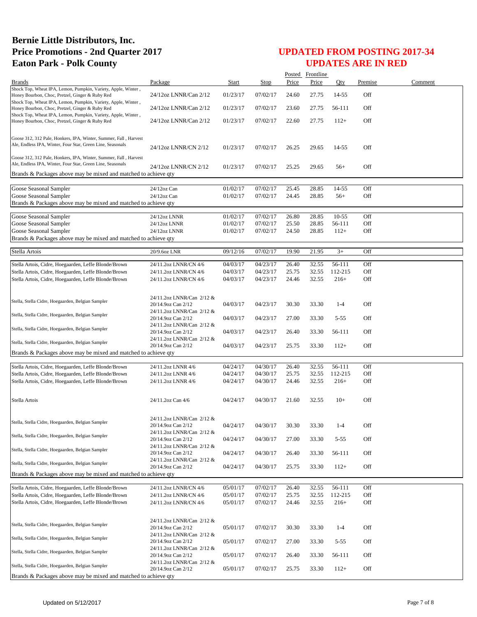|                                                                                                                  |                                                 |                      |                      |                | Posted Frontline |                   |            |         |
|------------------------------------------------------------------------------------------------------------------|-------------------------------------------------|----------------------|----------------------|----------------|------------------|-------------------|------------|---------|
| <b>Brands</b>                                                                                                    | Package                                         | Start                | Stop                 | Price          | Price            | Oty               | Premise    | Comment |
| Shock Top, Wheat IPA, Lemon, Pumpkin, Variety, Apple, Winter,<br>Honey Bourbon, Choc, Pretzel, Ginger & Ruby Red | 24/12oz LNNR/Can 2/12                           | 01/23/17             | 07/02/17             | 24.60          | 27.75            | 14-55             | Off        |         |
| Shock Top, Wheat IPA, Lemon, Pumpkin, Variety, Apple, Winter,                                                    |                                                 |                      |                      |                |                  |                   |            |         |
| Honey Bourbon, Choc, Pretzel, Ginger & Ruby Red<br>Shock Top, Wheat IPA, Lemon, Pumpkin, Variety, Apple, Winter, | 24/12oz LNNR/Can 2/12                           | 01/23/17             | 07/02/17             | 23.60          | 27.75            | 56-111            | Off        |         |
| Honey Bourbon, Choc, Pretzel, Ginger & Ruby Red                                                                  | 24/12oz LNNR/Can 2/12                           | 01/23/17             | 07/02/17             | 22.60          | 27.75            | $112+$            | Off        |         |
|                                                                                                                  |                                                 |                      |                      |                |                  |                   |            |         |
| Goose 312, 312 Pale, Honkers, IPA, Winter, Summer, Fall, Harvest                                                 |                                                 |                      |                      |                |                  |                   |            |         |
| Ale, Endless IPA, Winter, Four Star, Green Line, Seasonals                                                       | 24/12oz LNNR/CN 2/12                            | 01/23/17             | 07/02/17             | 26.25          | 29.65            | 14-55             | Off        |         |
| Goose 312, 312 Pale, Honkers, IPA, Winter, Summer, Fall, Harvest                                                 |                                                 |                      |                      |                |                  |                   |            |         |
| Ale, Endless IPA, Winter, Four Star, Green Line, Seasonals                                                       | 24/12oz LNNR/CN 2/12                            | 01/23/17             | 07/02/17             | 25.25          | 29.65            | $56+$             | Off        |         |
| Brands & Packages above may be mixed and matched to achieve qty                                                  |                                                 |                      |                      |                |                  |                   |            |         |
| Goose Seasonal Sampler                                                                                           | 24/12oz Can                                     | 01/02/17             | 07/02/17             | 25.45          | 28.85            | 14-55             | Off        |         |
| Goose Seasonal Sampler                                                                                           | 24/12oz Can                                     | 01/02/17             | 07/02/17             | 24.45          | 28.85            | $56+$             | Off        |         |
| Brands & Packages above may be mixed and matched to achieve qty                                                  |                                                 |                      |                      |                |                  |                   |            |         |
| Goose Seasonal Sampler                                                                                           | 24/12oz LNNR                                    | 01/02/17             | 07/02/17             | 26.80          | 28.85            | $10-55$           | Off        |         |
| Goose Seasonal Sampler                                                                                           | 24/12oz LNNR                                    | 01/02/17             | 07/02/17             | 25.50          | 28.85            | 56-111            | Off        |         |
| Goose Seasonal Sampler                                                                                           | 24/12oz LNNR                                    | 01/02/17             | 07/02/17             | 24.50          | 28.85            | $112+$            | Off        |         |
| Brands & Packages above may be mixed and matched to achieve qty                                                  |                                                 |                      |                      |                |                  |                   |            |         |
| Stella Artois                                                                                                    | 20/9.6oz LNR                                    | 09/12/16             | 07/02/17             | 19.90          | 21.95            | $3+$              | Off        |         |
|                                                                                                                  |                                                 |                      |                      |                |                  |                   |            |         |
| Stella Artois, Cidre, Hoegaarden, Leffe Blonde/Brown<br>Stella Artois, Cidre, Hoegaarden, Leffe Blonde/Brown     | 24/11.2oz LNNR/CN 4/6<br>24/11.2oz LNNR/CN 4/6  | 04/03/17<br>04/03/17 | 04/23/17<br>04/23/17 | 26.40<br>25.75 | 32.55<br>32.55   | 56-111<br>112-215 | Off<br>Off |         |
| Stella Artois, Cidre, Hoegaarden, Leffe Blonde/Brown                                                             | 24/11.2oz LNNR/CN 4/6                           | 04/03/17             | 04/23/17             | 24.46          | 32.55            | $216+$            | Off        |         |
|                                                                                                                  |                                                 |                      |                      |                |                  |                   |            |         |
|                                                                                                                  | 24/11.2oz LNNR/Can 2/12 &                       |                      |                      |                |                  |                   |            |         |
| Stella, Stella Cidre, Hoegaarden, Belgian Sampler                                                                | 20/14.9oz Can 2/12                              | 04/03/17             | 04/23/17             | 30.30          | 33.30            | $1 - 4$           | Off        |         |
| Stella, Stella Cidre, Hoegaarden, Belgian Sampler                                                                | 24/11.2oz LNNR/Can 2/12 &                       |                      |                      |                |                  |                   |            |         |
|                                                                                                                  | 20/14.9oz Can 2/12<br>24/11.2oz LNNR/Can 2/12 & | 04/03/17             | 04/23/17             | 27.00          | 33.30            | $5 - 55$          | Off        |         |
| Stella, Stella Cidre, Hoegaarden, Belgian Sampler                                                                | 20/14.9oz Can 2/12                              | 04/03/17             | 04/23/17             | 26.40          | 33.30            | 56-111            | Off        |         |
| Stella, Stella Cidre, Hoegaarden, Belgian Sampler                                                                | 24/11.2oz LNNR/Can 2/12 &                       |                      |                      |                |                  |                   |            |         |
| Brands & Packages above may be mixed and matched to achieve qty                                                  | 20/14.9oz Can 2/12                              | 04/03/17             | 04/23/17             | 25.75          | 33.30            | $112+$            | Off        |         |
|                                                                                                                  |                                                 |                      |                      |                |                  |                   |            |         |
| Stella Artois, Cidre, Hoegaarden, Leffe Blonde/Brown                                                             | 24/11.2oz LNNR 4/6                              | 04/24/17             | 04/30/17             | 26.40          | 32.55            | 56-111            | Off        |         |
| Stella Artois, Cidre, Hoegaarden, Leffe Blonde/Brown                                                             | 24/11.2oz LNNR 4/6                              | 04/24/17             | 04/30/17             | 25.75          | 32.55            | 112-215<br>$216+$ | Off<br>Off |         |
| Stella Artois, Cidre, Hoegaarden, Leffe Blonde/Brown                                                             | 24/11.2oz LNNR 4/6                              | 04/24/17             | 04/30/17             | 24.46          | 32.55            |                   |            |         |
|                                                                                                                  |                                                 |                      | 04/30/17             |                |                  |                   |            |         |
| Stella Artois                                                                                                    | 24/11.2oz Can 4/6                               | 04/24/17             |                      | 21.60          | 32.55            | $10+$             | Off        |         |
|                                                                                                                  |                                                 |                      |                      |                |                  |                   |            |         |
| Stella, Stella Cidre, Hoegaarden, Belgian Sampler                                                                | 24/11.2oz LNNR/Can 2/12 &<br>20/14.9oz Can 2/12 | 04/24/17             | 04/30/17             | 30.30          | 33.30            | $1 - 4$           | Off        |         |
| Stella, Stella Cidre, Hoegaarden, Belgian Sampler                                                                | 24/11.2oz LNNR/Can 2/12 &                       |                      |                      |                |                  |                   |            |         |
|                                                                                                                  | 20/14.9oz Can 2/12                              | 04/24/17             | 04/30/17             | 27.00          | 33.30            | $5 - 55$          | Off        |         |
| Stella, Stella Cidre, Hoegaarden, Belgian Sampler                                                                | 24/11.2oz LNNR/Can 2/12 &<br>20/14.9oz Can 2/12 | 04/24/17             | 04/30/17             | 26.40          | 33.30            | 56-111            | Off        |         |
| Stella, Stella Cidre, Hoegaarden, Belgian Sampler                                                                | 24/11.2oz LNNR/Can 2/12 &                       |                      |                      |                |                  |                   |            |         |
|                                                                                                                  | 20/14.9oz Can 2/12                              | 04/24/17             | 04/30/17             | 25.75          | 33.30            | $112+$            | Off        |         |
| Brands & Packages above may be mixed and matched to achieve qty                                                  |                                                 |                      |                      |                |                  |                   |            |         |
| Stella Artois, Cidre, Hoegaarden, Leffe Blonde/Brown                                                             | 24/11.2oz LNNR/CN 4/6                           | 05/01/17             | 07/02/17             | 26.40          | 32.55            | 56-111            | Off        |         |
| Stella Artois, Cidre, Hoegaarden, Leffe Blonde/Brown                                                             | 24/11.2oz LNNR/CN 4/6                           | 05/01/17             | 07/02/17             | 25.75          | 32.55            | 112-215           | Off        |         |
| Stella Artois, Cidre, Hoegaarden, Leffe Blonde/Brown                                                             | 24/11.2oz LNNR/CN 4/6                           | 05/01/17             | 07/02/17             | 24.46          | 32.55            | $216+$            | Off        |         |
|                                                                                                                  |                                                 |                      |                      |                |                  |                   |            |         |
| Stella, Stella Cidre, Hoegaarden, Belgian Sampler                                                                | 24/11.2oz LNNR/Can 2/12 &<br>20/14.9oz Can 2/12 | 05/01/17             | 07/02/17             | 30.30          | 33.30            | $1 - 4$           | Off        |         |
|                                                                                                                  | 24/11.2oz LNNR/Can 2/12 &                       |                      |                      |                |                  |                   |            |         |
| Stella, Stella Cidre, Hoegaarden, Belgian Sampler                                                                | 20/14.9oz Can 2/12                              | 05/01/17             | 07/02/17             | 27.00          | 33.30            | $5 - 55$          | Off        |         |
| Stella, Stella Cidre, Hoegaarden, Belgian Sampler                                                                | 24/11.2oz LNNR/Can 2/12 &<br>20/14.9oz Can 2/12 | 05/01/17             | 07/02/17             | 26.40          | 33.30            | 56-111            | Off        |         |
|                                                                                                                  | 24/11.2oz LNNR/Can 2/12 &                       |                      |                      |                |                  |                   |            |         |
| Stella, Stella Cidre, Hoegaarden, Belgian Sampler                                                                | 20/14.9oz Can 2/12                              | 05/01/17             | 07/02/17             | 25.75          | 33.30            | $112+$            | Off        |         |
| Brands & Packages above may be mixed and matched to achieve qty                                                  |                                                 |                      |                      |                |                  |                   |            |         |